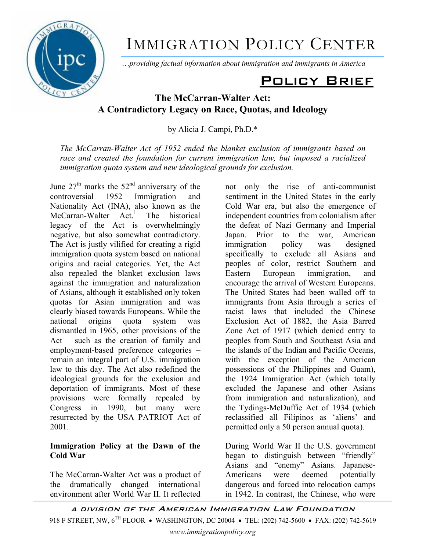

# IMMIGRATION POLICY CENTER

Ö*providing factual information about immigration and immigrants in America*

## Policy Brief

### **The McCarran-Walter Act: A Contradictory Legacy on Race, Quotas, and Ideology**

by Alicia J. Campi, Ph.D.\*

*The McCarran-Walter Act of 1952 ended the blanket exclusion of immigrants based on race and created the foundation for current immigration law, but imposed a racialized immigration quota system and new ideological grounds for exclusion.* 

June  $27<sup>th</sup>$  marks the  $52<sup>nd</sup>$  anniversary of the controversial 1952 Immigration and Nationality Act (INA), also known as the  $McCarran-Walter$   $Act.<sup>1</sup>$  The historical legacy of the Act is overwhelmingly negative, but also somewhat contradictory. The Act is justly vilified for creating a rigid immigration quota system based on national origins and racial categories. Yet, the Act also repealed the blanket exclusion laws against the immigration and naturalization of Asians, although it established only token quotas for Asian immigration and was clearly biased towards Europeans. While the national origins quota system was dismantled in 1965, other provisions of the Act  $-$  such as the creation of family and employment-based preference categories  $$ remain an integral part of U.S. immigration law to this day. The Act also redefined the ideological grounds for the exclusion and deportation of immigrants. Most of these provisions were formally repealed by Congress in 1990, but many were resurrected by the USA PATRIOT Act of 2001.

#### **Immigration Policy at the Dawn of the Cold War**

The McCarran-Walter Act was a product of the dramatically changed international environment after World War II. It reflected

not only the rise of anti-communist sentiment in the United States in the early Cold War era, but also the emergence of independent countries from colonialism after the defeat of Nazi Germany and Imperial Japan. Prior to the war, American immigration policy was designed specifically to exclude all Asians and peoples of color, restrict Southern and Eastern European immigration, and encourage the arrival of Western Europeans. The United States had been walled off to immigrants from Asia through a series of racist laws that included the Chinese Exclusion Act of 1882, the Asia Barred Zone Act of 1917 (which denied entry to peoples from South and Southeast Asia and the islands of the Indian and Pacific Oceans, with the exception of the American possessions of the Philippines and Guam), the 1924 Immigration Act (which totally excluded the Japanese and other Asians from immigration and naturalization), and the Tydings-McDuffie Act of 1934 (which reclassified all Filipinos as 'aliens' and permitted only a 50 person annual quota).

During World War II the U.S. government began to distinguish between "friendly" Asians and "enemy" Asians. Japanese-Americans were deemed potentially dangerous and forced into relocation camps in 1942. In contrast, the Chinese, who were

A DIVISION OF THE AMERICAN IMMIGRATION LAW FOUNDATION 918 F STREET, NW, 6<sup>TH</sup> FLOOR • WASHINGTON, DC 20004 • TEL: (202) 742-5600 • FAX: (202) 742-5619 *www.immigrationpolicy.org*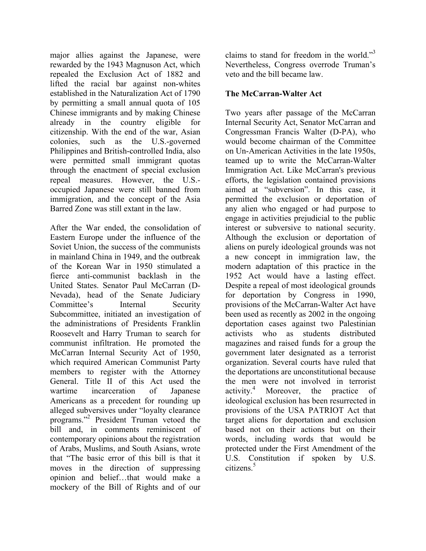major allies against the Japanese, were rewarded by the 1943 Magnuson Act, which repealed the Exclusion Act of 1882 and lifted the racial bar against non-whites established in the Naturalization Act of 1790 by permitting a small annual quota of 105 Chinese immigrants and by making Chinese already in the country eligible for citizenship. With the end of the war, Asian colonies, such as the U.S.-governed Philippines and British-controlled India, also were permitted small immigrant quotas through the enactment of special exclusion repeal measures. However, the U.S. occupied Japanese were still banned from immigration, and the concept of the Asia Barred Zone was still extant in the law.

After the War ended, the consolidation of Eastern Europe under the influence of the Soviet Union, the success of the communists in mainland China in 1949, and the outbreak of the Korean War in 1950 stimulated a fierce anti-communist backlash in the United States. Senator Paul McCarran (D-Nevada), head of the Senate Judiciary Committee's Internal Security Subcommittee, initiated an investigation of the administrations of Presidents Franklin Roosevelt and Harry Truman to search for communist infiltration. He promoted the McCarran Internal Security Act of 1950, which required American Communist Party members to register with the Attorney General. Title II of this Act used the wartime incarceration of Japanese Americans as a precedent for rounding up alleged subversives under "loyalty clearance" programs."<sup>2</sup> President Truman vetoed the bill and, in comments reminiscent of contemporary opinions about the registration of Arabs, Muslims, and South Asians, wrote that "The basic error of this bill is that it moves in the direction of suppressing opinion and belief...that would make a mockery of the Bill of Rights and of our

claims to stand for freedom in the world. $33$ Nevertheless, Congress overrode Truman's veto and the bill became law.

#### **The McCarran-Walter Act**

Two years after passage of the McCarran Internal Security Act, Senator McCarran and Congressman Francis Walter (D-PA), who would become chairman of the Committee on Un-American Activities in the late 1950s, teamed up to write the McCarran-Walter Immigration Act. Like McCarran's previous efforts, the legislation contained provisions aimed at "subversion". In this case, it permitted the exclusion or deportation of any alien who engaged or had purpose to engage in activities prejudicial to the public interest or subversive to national security. Although the exclusion or deportation of aliens on purely ideological grounds was not a new concept in immigration law, the modern adaptation of this practice in the 1952 Act would have a lasting effect. Despite a repeal of most ideological grounds for deportation by Congress in 1990, provisions of the McCarran-Walter Act have been used as recently as 2002 in the ongoing deportation cases against two Palestinian activists who as students distributed magazines and raised funds for a group the government later designated as a terrorist organization. Several courts have ruled that the deportations are unconstitutional because the men were not involved in terrorist activity.4 Moreover, the practice of ideological exclusion has been resurrected in provisions of the USA PATRIOT Act that target aliens for deportation and exclusion based not on their actions but on their words, including words that would be protected under the First Amendment of the U.S. Constitution if spoken by U.S. citizens<sup>5</sup>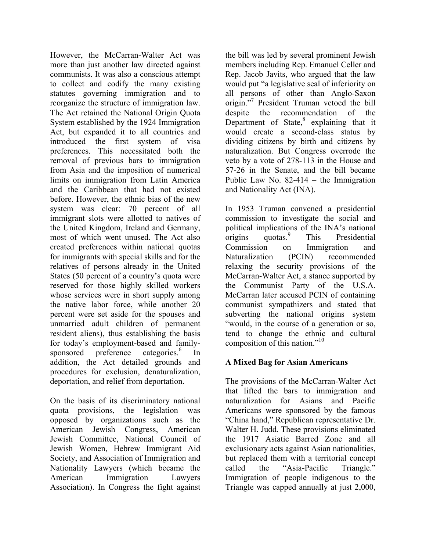However, the McCarran-Walter Act was more than just another law directed against communists. It was also a conscious attempt to collect and codify the many existing statutes governing immigration and to reorganize the structure of immigration law. The Act retained the National Origin Quota System established by the 1924 Immigration Act, but expanded it to all countries and introduced the first system of visa preferences. This necessitated both the removal of previous bars to immigration from Asia and the imposition of numerical limits on immigration from Latin America and the Caribbean that had not existed before. However, the ethnic bias of the new system was clear: 70 percent of all immigrant slots were allotted to natives of the United Kingdom, Ireland and Germany, most of which went unused. The Act also created preferences within national quotas for immigrants with special skills and for the relatives of persons already in the United States (50 percent of a country's quota were reserved for those highly skilled workers whose services were in short supply among the native labor force, while another 20 percent were set aside for the spouses and unmarried adult children of permanent resident aliens), thus establishing the basis for today's employment-based and familysponsored preference categories.<sup>6</sup> In addition, the Act detailed grounds and procedures for exclusion, denaturalization, deportation, and relief from deportation.

On the basis of its discriminatory national quota provisions, the legislation was opposed by organizations such as the American Jewish Congress, American Jewish Committee, National Council of Jewish Women, Hebrew Immigrant Aid Society, and Association of Immigration and Nationality Lawyers (which became the American Immigration Lawyers Association). In Congress the fight against

the bill was led by several prominent Jewish members including Rep. Emanuel Celler and Rep. Jacob Javits, who argued that the law would put "a legislative seal of inferiority on all persons of other than Anglo-Saxon origin."<sup>7</sup> President Truman vetoed the bill despite the recommendation of the Department of State, $8$  explaining that it would create a second-class status by dividing citizens by birth and citizens by naturalization. But Congress overrode the veto by a vote of 278-113 in the House and 57-26 in the Senate, and the bill became Public Law No.  $82-414$  – the Immigration and Nationality Act (INA).

In 1953 Truman convened a presidential commission to investigate the social and political implications of the INA's national origins quotas.<sup>9</sup> This Presidential Commission on Immigration and Naturalization (PCIN) recommended relaxing the security provisions of the McCarran-Walter Act, a stance supported by the Communist Party of the U.S.A. McCarran later accused PCIN of containing communist sympathizers and stated that subverting the national origins system ìwould, in the course of a generation or so, tend to change the ethnic and cultural composition of this nation. $i<sup>10</sup>$ 

#### **A Mixed Bag for Asian Americans**

The provisions of the McCarran-Walter Act that lifted the bars to immigration and naturalization for Asians and Pacific Americans were sponsored by the famous ìChina hand,î Republican representative Dr. Walter H. Judd. These provisions eliminated the 1917 Asiatic Barred Zone and all exclusionary acts against Asian nationalities, but replaced them with a territorial concept called the "Asia-Pacific Triangle." Immigration of people indigenous to the Triangle was capped annually at just 2,000,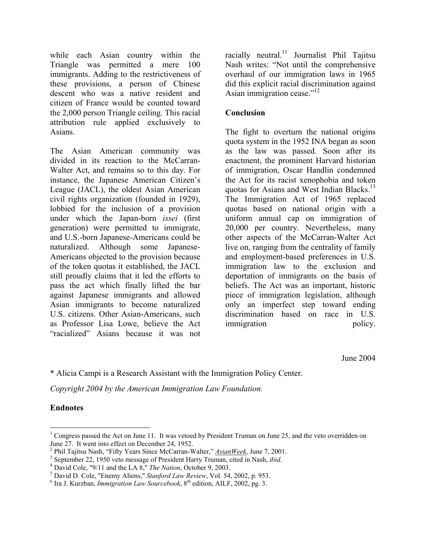while each Asian country within the Triangle was permitted a mere 100 immigrants. Adding to the restrictiveness of these provisions, a person of Chinese descent who was a native resident and citizen of France would be counted toward the 2,000 person Triangle ceiling. This racial attribution rule applied exclusively to Asians.

The Asian American community was divided in its reaction to the McCarran-Walter Act, and remains so to this day. For instance, the Japanese American Citizen's League (JACL), the oldest Asian American civil rights organization (founded in 1929), lobbied for the inclusion of a provision under which the Japan-born *issei* (first generation) were permitted to immigrate, and U.S.-born Japanese-Americans could be naturalized. Although some Japanese-Americans objected to the provision because of the token quotas it established, the JACL still proudly claims that it led the efforts to pass the act which finally lifted the bar against Japanese immigrants and allowed Asian immigrants to become naturalized U.S. citizens. Other Asian-Americans, such as Professor Lisa Lowe, believe the Act "racialized" Asians because it was not

racially neutral.<sup>11</sup> Journalist Phil Tajitsu Nash writes: "Not until the comprehensive overhaul of our immigration laws in 1965 did this explicit racial discrimination against Asian immigration cease.<sup> $12$ </sup>

#### **Conclusion**

The fight to overturn the national origins quota system in the 1952 INA began as soon as the law was passed. Soon after its enactment, the prominent Harvard historian of immigration, Oscar Handlin condemned the Act for its racist xenophobia and token quotas for Asians and West Indian Blacks.<sup>13</sup> The Immigration Act of 1965 replaced quotas based on national origin with a uniform annual cap on immigration of 20,000 per country. Nevertheless, many other aspects of the McCarran-Walter Act live on, ranging from the centrality of family and employment-based preferences in U.S. immigration law to the exclusion and deportation of immigrants on the basis of beliefs. The Act was an important, historic piece of immigration legislation, although only an imperfect step toward ending discrimination based on race in U.S. immigration policy.

#### June 2004

\* Alicia Campi is a Research Assistant with the Immigration Policy Center.

*Copyright 2004 by the American Immigration Law Foundation.* 

#### **Endnotes**

<u>.</u>

<sup>&</sup>lt;sup>1</sup> Congress passed the Act on June 11. It was vetoed by President Truman on June 25, and the veto overridden on June 27. It went into effect on December 24, 1952.

<sup>&</sup>lt;sup>2</sup> Phil Tajitsu Nash, "Fifty Years Since McCarran-Walter," **AsianWeek**, June 7, 2001.  $\frac{3}{5}$  Sontomber 22, 1050 veto measure of President Herry Truman, eited in Nash, ibid.

<sup>&</sup>lt;sup>3</sup> September 22, 1950 veto message of President Harry Truman, cited in Nash, *ibid.*  $^{4}$  David Colo. "0.011 and the LA 8." The Nation October 0, 2002.

<sup>&</sup>lt;sup>4</sup> David Cole, "9/11 and the LA 8," *The Nation*, October 9, 2003.

David D. Cole, "Enemy Aliens," *Stanford Law Review*, Vol. 54, 2002, p. 953. 6

 $<sup>6</sup>$  Ira J. Kurzban, *Immigration Law Sourcebook*,  $8<sup>th</sup>$  edition, AILF, 2002, pg. 3.</sup>